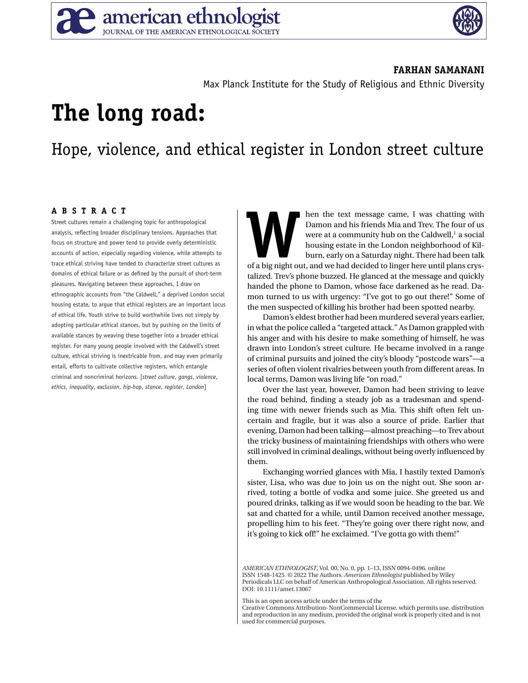

#### **FARHAN SAMANANI**

Max Planck Institute for the Study of Religious and Ethnic Diversity

# **The long road:**

## Hope, violence, and ethical register in London street culture

### **ABSTRACT**

Street cultures remain a challenging topic for anthropological analysis, reflecting broader disciplinary tensions. Approaches that focus on structure and power tend to provide overly deterministic accounts of action, especially regarding violence, while attempts to trace ethical striving have tended to characterize street cultures as domains of ethical failure or as defined by the pursuit of short-term pleasures. Navigating between these approaches, I draw on ethnographic accounts from "the Caldwell," a deprived London social housing estate, to argue that ethical registers are an important locus of ethical life. Youth strive to build worthwhile lives not simply by adopting particular ethical stances, but by pushing on the limits of available stances by weaving these together into a broader ethical register. For many young people involved with the Caldwell's street culture, ethical striving is inextricable from, and may even primarily entail, efforts to cultivate collective registers, which entangle criminal and noncriminal horizons. [*street culture*, *gangs*, *violence*, *ethics*, *inequality*, *exclusion*, *hip-hop*, *stance*, *register*, *London*]

**WHENDER THE CONFORM IS CONSIDERED A** Damon and his friends Mia and Trev. The four of us were at a community hub on the Caldwell,<sup>1</sup> a social housing estate in the London neighborhood of Kilburn, early on a Saturday night. Damon and his friends Mia and Trev. The four of us were at a community hub on the Caldwell, $<sup>1</sup>$  a social</sup> housing estate in the London neighborhood of Kilburn, early on a Saturday night. There had been talk talized. Trev's phone buzzed. He glanced at the message and quickly handed the phone to Damon, whose face darkened as he read. Damon turned to us with urgency: "I've got to go out there!" Some of the men suspected of killing his brother had been spotted nearby.

Damon's eldest brother had been murdered several years earlier, in what the police called a "targeted attack." As Damon grappled with his anger and with his desire to make something of himself, he was drawn into London's street culture. He became involved in a range of criminal pursuits and joined the city's bloody "postcode wars"—a series of often violent rivalries between youth from different areas. In local terms, Damon was living life "on road."

Over the last year, however, Damon had been striving to leave the road behind, finding a steady job as a tradesman and spending time with newer friends such as Mia. This shift often felt uncertain and fragile, but it was also a source of pride. Earlier that evening, Damon had been talking—almost preaching—to Trev about the tricky business of maintaining friendships with others who were still involved in criminal dealings, without being overly influenced by them.

Exchanging worried glances with Mia, I hastily texted Damon's sister, Lisa, who was due to join us on the night out. She soon arrived, toting a bottle of vodka and some juice. She greeted us and poured drinks, talking as if we would soon be heading to the bar. We sat and chatted for a while, until Damon received another message, propelling him to his feet. "They're going over there right now, and it's going to kick off!" he exclaimed. "I've gotta go with them!"

*AMERICAN ETHNOLOGIST*, Vol. 00, No. 0, pp. 1–13, ISSN 0094-0496, online ISSN 1548-1425. © 2022 The Authors. *American Ethnologist* published by Wiley Periodicals LLC on behalf of American Anthropological Association. All rights reserved. DOI: 10.1111/amet.13067

This is an open access article under the terms of the

[Creative Commons Attribution-NonCommercial](http://creativecommons.org/licenses/by-nc/4.0/) License, which permits use, distribution and reproduction in any medium, provided the original work is properly cited and is not used for commercial purposes.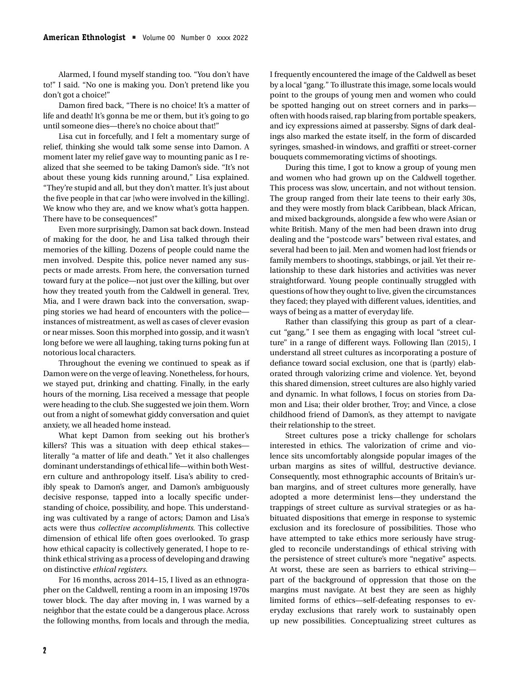Alarmed, I found myself standing too. "You don't have to!" I said. "No one is making you. Don't pretend like you don't got a choice!"

Damon fired back, "There is no choice! It's a matter of life and death! It's gonna be me or them, but it's going to go until someone dies—there's no choice about that!"

Lisa cut in forcefully, and I felt a momentary surge of relief, thinking she would talk some sense into Damon. A moment later my relief gave way to mounting panic as I realized that she seemed to be taking Damon's side. "It's not about these young kids running around," Lisa explained. "They're stupid and all, but they don't matter. It's just about the five people in that car [who were involved in the killing]. We know who they are, and we know what's gotta happen. There have to be consequences!"

Even more surprisingly, Damon sat back down. Instead of making for the door, he and Lisa talked through their memories of the killing. Dozens of people could name the men involved. Despite this, police never named any suspects or made arrests. From here, the conversation turned toward fury at the police—not just over the killing, but over how they treated youth from the Caldwell in general. Trev, Mia, and I were drawn back into the conversation, swapping stories we had heard of encounters with the police instances of mistreatment, as well as cases of clever evasion or near misses. Soon this morphed into gossip, and it wasn't long before we were all laughing, taking turns poking fun at notorious local characters.

Throughout the evening we continued to speak as if Damon were on the verge of leaving. Nonetheless, for hours, we stayed put, drinking and chatting. Finally, in the early hours of the morning, Lisa received a message that people were heading to the club. She suggested we join them. Worn out from a night of somewhat giddy conversation and quiet anxiety, we all headed home instead.

What kept Damon from seeking out his brother's killers? This was a situation with deep ethical stakes literally "a matter of life and death." Yet it also challenges dominant understandings of ethical life—within both Western culture and anthropology itself. Lisa's ability to credibly speak to Damon's anger, and Damon's ambiguously decisive response, tapped into a locally specific understanding of choice, possibility, and hope. This understanding was cultivated by a range of actors; Damon and Lisa's acts were thus *collective accomplishments*. This collective dimension of ethical life often goes overlooked. To grasp how ethical capacity is collectively generated, I hope to rethink ethical striving as a process of developing and drawing on distinctive *ethical registers*.

For 16 months, across 2014–15, I lived as an ethnographer on the Caldwell, renting a room in an imposing 1970s tower block. The day after moving in, I was warned by a neighbor that the estate could be a dangerous place. Across the following months, from locals and through the media, I frequently encountered the image of the Caldwell as beset by a local "gang." To illustrate this image, some locals would point to the groups of young men and women who could be spotted hanging out on street corners and in parks often with hoods raised, rap blaring from portable speakers, and icy expressions aimed at passersby. Signs of dark dealings also marked the estate itself, in the form of discarded syringes, smashed-in windows, and graffiti or street-corner bouquets commemorating victims of shootings.

During this time, I got to know a group of young men and women who had grown up on the Caldwell together. This process was slow, uncertain, and not without tension. The group ranged from their late teens to their early 30s, and they were mostly from black Caribbean, black African, and mixed backgrounds, alongside a few who were Asian or white British. Many of the men had been drawn into drug dealing and the "postcode wars" between rival estates, and several had been to jail. Men and women had lost friends or family members to shootings, stabbings, or jail. Yet their relationship to these dark histories and activities was never straightforward. Young people continually struggled with questions of how they ought to live, given the circumstances they faced; they played with different values, identities, and ways of being as a matter of everyday life.

Rather than classifying this group as part of a clearcut "gang," I see them as engaging with local "street culture" in a range of different ways. Following Ilan (2015), I understand all street cultures as incorporating a posture of defiance toward social exclusion, one that is (partly) elaborated through valorizing crime and violence. Yet, beyond this shared dimension, street cultures are also highly varied and dynamic. In what follows, I focus on stories from Damon and Lisa; their older brother, Troy; and Vince, a close childhood friend of Damon's, as they attempt to navigate their relationship to the street.

Street cultures pose a tricky challenge for scholars interested in ethics. The valorization of crime and violence sits uncomfortably alongside popular images of the urban margins as sites of willful, destructive deviance. Consequently, most ethnographic accounts of Britain's urban margins, and of street cultures more generally, have adopted a more determinist lens—they understand the trappings of street culture as survival strategies or as habituated dispositions that emerge in response to systemic exclusion and its foreclosure of possibilities. Those who have attempted to take ethics more seriously have struggled to reconcile understandings of ethical striving with the persistence of street culture's more "negative" aspects. At worst, these are seen as barriers to ethical striving part of the background of oppression that those on the margins must navigate. At best they are seen as highly limited forms of ethics—self-defeating responses to everyday exclusions that rarely work to sustainably open up new possibilities. Conceptualizing street cultures as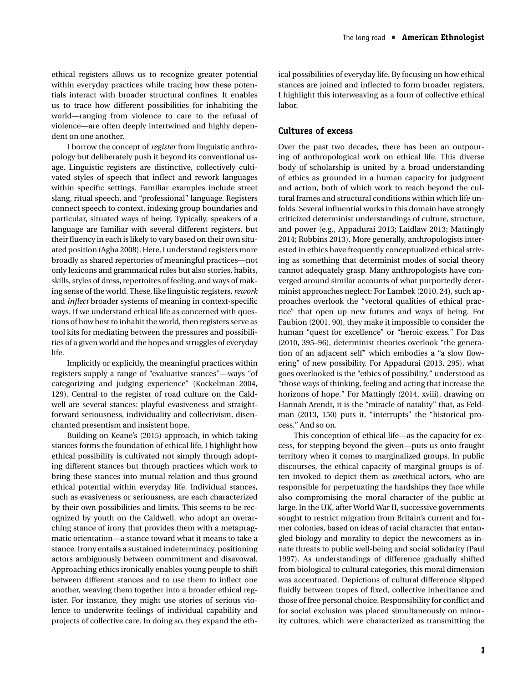ethical registers allows us to recognize greater potential within everyday practices while tracing how these potentials interact with broader structural confines. It enables us to trace how different possibilities for inhabiting the world—ranging from violence to care to the refusal of violence—are often deeply intertwined and highly dependent on one another.

I borrow the concept of *register* from linguistic anthropology but deliberately push it beyond its conventional usage. Linguistic registers are distinctive, collectively cultivated styles of speech that inflect and rework languages within specific settings. Familiar examples include street slang, ritual speech, and "professional" language. Registers connect speech to context, indexing group boundaries and particular, situated ways of being. Typically, speakers of a language are familiar with several different registers, but their fluency in each is likely to vary based on their own situated position (Agha 2008). Here, I understand registers more broadly as shared repertories of meaningful practices—not only lexicons and grammatical rules but also stories, habits, skills, styles of dress, repertoires of feeling, and ways of making sense of the world. These, like linguistic registers, *rework* and *inflect* broader systems of meaning in context-specific ways. If we understand ethical life as concerned with questions of how best to inhabit the world, then registers serve as tool kits for mediating between the pressures and possibilities of a given world and the hopes and struggles of everyday life.

Implicitly or explicitly, the meaningful practices within registers supply a range of "evaluative stances"—ways "of categorizing and judging experience" (Kockelman 2004, 129). Central to the register of road culture on the Caldwell are several stances: playful evasiveness and straightforward seriousness, individuality and collectivism, disenchanted presentism and insistent hope.

Building on Keane's (2015) approach, in which taking stances forms the foundation of ethical life, I highlight how ethical possibility is cultivated not simply through adopting different stances but through practices which work to bring these stances into mutual relation and thus ground ethical potential within everyday life. Individual stances, such as evasiveness or seriousness, are each characterized by their own possibilities and limits. This seems to be recognized by youth on the Caldwell, who adopt an overarching stance of irony that provides them with a metapragmatic orientation—a stance toward what it means to take a stance. Irony entails a sustained indeterminacy, positioning actors ambiguously between commitment and disavowal. Approaching ethics ironically enables young people to shift between different stances and to use them to inflect one another, weaving them together into a broader ethical register. For instance, they might use stories of serious violence to underwrite feelings of individual capability and projects of collective care. In doing so, they expand the ethical possibilities of everyday life. By focusing on how ethical stances are joined and inflected to form broader registers, I highlight this interweaving as a form of collective ethical labor.

#### **Cultures of excess**

Over the past two decades, there has been an outpouring of anthropological work on ethical life. This diverse body of scholarship is united by a broad understanding of ethics as grounded in a human capacity for judgment and action, both of which work to reach beyond the cultural frames and structural conditions within which life unfolds. Several influential works in this domain have strongly criticized determinist understandings of culture, structure, and power (e.g., Appadurai 2013; Laidlaw 2013; Mattingly 2014; Robbins 2013). More generally, anthropologists interested in ethics have frequently conceptualized ethical striving as something that determinist modes of social theory cannot adequately grasp. Many anthropologists have converged around similar accounts of what purportedly determinist approaches neglect: For Lambek (2010, 24), such approaches overlook the "vectoral qualities of ethical practice" that open up new futures and ways of being. For Faubion (2001, 90), they make it impossible to consider the human "quest for excellence" or "heroic excess." For Das (2010, 395–96), determinist theories overlook "the generation of an adjacent self" which embodies a "a slow flowering" of new possibility. For Appadurai (2013, 295), what goes overlooked is the "ethics of possibility," understood as "those ways of thinking, feeling and acting that increase the horizons of hope." For Mattingly (2014, xviii), drawing on Hannah Arendt, it is the "miracle of natality" that, as Feldman (2013, 150) puts it, "interrupts" the "historical process." And so on.

This conception of ethical life—as the capacity for excess, for stepping beyond the given—puts us onto fraught territory when it comes to marginalized groups. In public discourses, the ethical capacity of marginal groups is often invoked to depict them as *un*ethical actors, who are responsible for perpetuating the hardships they face while also compromising the moral character of the public at large. In the UK, after World War II, successive governments sought to restrict migration from Britain's current and former colonies, based on ideas of racial character that entangled biology and morality to depict the newcomers as innate threats to public well-being and social solidarity (Paul 1997). As understandings of difference gradually shifted from biological to cultural categories, this moral dimension was accentuated. Depictions of cultural difference slipped fluidly between tropes of fixed, collective inheritance and those of free personal choice. Responsibility for conflict and for social exclusion was placed simultaneously on minority cultures, which were characterized as transmitting the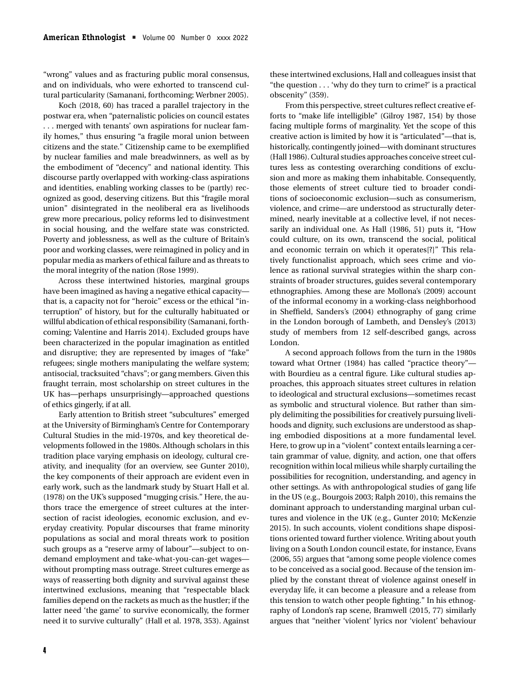"wrong" values and as fracturing public moral consensus, and on individuals, who were exhorted to transcend cultural particularity (Samanani, forthcoming; Werbner 2005).

Koch (2018, 60) has traced a parallel trajectory in the postwar era, when "paternalistic policies on council estates . . . merged with tenants' own aspirations for nuclear family homes," thus ensuring "a fragile moral union between citizens and the state." Citizenship came to be exemplified by nuclear families and male breadwinners, as well as by the embodiment of "decency" and national identity. This discourse partly overlapped with working-class aspirations and identities, enabling working classes to be (partly) recognized as good, deserving citizens. But this "fragile moral union" disintegrated in the neoliberal era as livelihoods grew more precarious, policy reforms led to disinvestment in social housing, and the welfare state was constricted. Poverty and joblessness, as well as the culture of Britain's poor and working classes, were reimagined in policy and in popular media as markers of ethical failure and as threats to the moral integrity of the nation (Rose 1999).

Across these intertwined histories, marginal groups have been imagined as having a negative ethical capacity that is, a capacity not for "heroic" excess or the ethical "interruption" of history, but for the culturally habituated or willful abdication of ethical responsibility (Samanani, forthcoming; Valentine and Harris 2014). Excluded groups have been characterized in the popular imagination as entitled and disruptive; they are represented by images of "fake" refugees; single mothers manipulating the welfare system; antisocial, tracksuited "chavs"; or gang members. Given this fraught terrain, most scholarship on street cultures in the UK has—perhaps unsurprisingly—approached questions of ethics gingerly, if at all.

Early attention to British street "subcultures" emerged at the University of Birmingham's Centre for Contemporary Cultural Studies in the mid-1970s, and key theoretical developments followed in the 1980s. Although scholars in this tradition place varying emphasis on ideology, cultural creativity, and inequality (for an overview, see Gunter 2010), the key components of their approach are evident even in early work, such as the landmark study by Stuart Hall et al. (1978) on the UK's supposed "mugging crisis." Here, the authors trace the emergence of street cultures at the intersection of racist ideologies, economic exclusion, and everyday creativity. Popular discourses that frame minority populations as social and moral threats work to position such groups as a "reserve army of labour"—subject to ondemand employment and take-what-you-can-get wages without prompting mass outrage. Street cultures emerge as ways of reasserting both dignity and survival against these intertwined exclusions, meaning that "respectable black families depend on the rackets as much as the hustler; if the latter need 'the game' to survive economically, the former need it to survive culturally" (Hall et al. 1978, 353). Against these intertwined exclusions, Hall and colleagues insist that "the question . . . 'why do they turn to crime?' is a practical obscenity" (359).

From this perspective, street cultures reflect creative efforts to "make life intelligible" (Gilroy 1987, 154) by those facing multiple forms of marginality. Yet the scope of this creative action is limited by how it is "articulated"—that is, historically, contingently joined—with dominant structures (Hall 1986). Cultural studies approaches conceive street cultures less as contesting overarching conditions of exclusion and more as making them inhabitable. Consequently, those elements of street culture tied to broader conditions of socioeconomic exclusion—such as consumerism, violence, and crime—are understood as structurally determined, nearly inevitable at a collective level, if not necessarily an individual one. As Hall (1986, 51) puts it, "How could culture, on its own, transcend the social, political and economic terrain on which it operates[?]" This relatively functionalist approach, which sees crime and violence as rational survival strategies within the sharp constraints of broader structures, guides several contemporary ethnographies. Among these are Mollona's (2009) account of the informal economy in a working-class neighborhood in Sheffield, Sanders's (2004) ethnography of gang crime in the London borough of Lambeth, and Densley's (2013) study of members from 12 self-described gangs, across London.

A second approach follows from the turn in the 1980s toward what Ortner (1984) has called "practice theory" with Bourdieu as a central figure. Like cultural studies approaches, this approach situates street cultures in relation to ideological and structural exclusions—sometimes recast as symbolic and structural violence. But rather than simply delimiting the possibilities for creatively pursuing livelihoods and dignity, such exclusions are understood as shaping embodied dispositions at a more fundamental level. Here, to grow up in a "violent" context entails learning a certain grammar of value, dignity, and action, one that offers recognition within local milieus while sharply curtailing the possibilities for recognition, understanding, and agency in other settings. As with anthropological studies of gang life in the US (e.g., Bourgois 2003; Ralph 2010), this remains the dominant approach to understanding marginal urban cultures and violence in the UK (e.g., Gunter 2010; McKenzie 2015). In such accounts, violent conditions shape dispositions oriented toward further violence. Writing about youth living on a South London council estate, for instance, Evans (2006, 55) argues that "among some people violence comes to be conceived as a social good. Because of the tension implied by the constant threat of violence against oneself in everyday life, it can become a pleasure and a release from this tension to watch other people fighting." In his ethnography of London's rap scene, Bramwell (2015, 77) similarly argues that "neither 'violent' lyrics nor 'violent' behaviour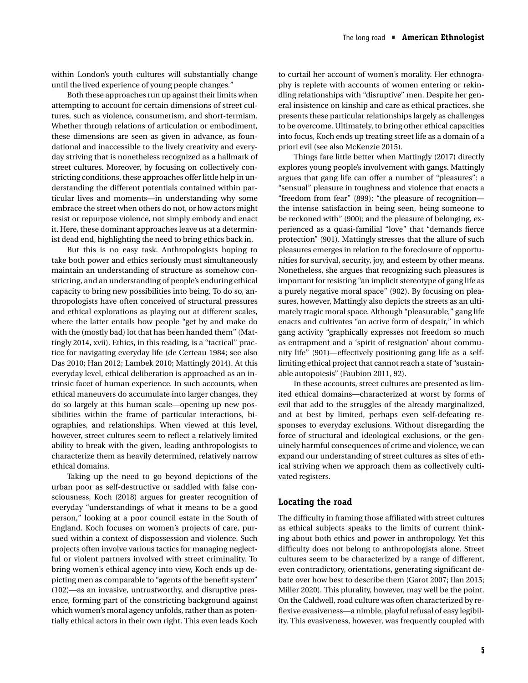within London's youth cultures will substantially change until the lived experience of young people changes."

Both these approaches run up against their limits when attempting to account for certain dimensions of street cultures, such as violence, consumerism, and short-termism. Whether through relations of articulation or embodiment, these dimensions are seen as given in advance, as foundational and inaccessible to the lively creativity and everyday striving that is nonetheless recognized as a hallmark of street cultures. Moreover, by focusing on collectively constricting conditions, these approaches offer little help in understanding the different potentials contained within particular lives and moments—in understanding why some embrace the street when others do not, or how actors might resist or repurpose violence, not simply embody and enact it. Here, these dominant approaches leave us at a determinist dead end, highlighting the need to bring ethics back in.

But this is no easy task. Anthropologists hoping to take both power and ethics seriously must simultaneously maintain an understanding of structure as somehow constricting, and an understanding of people's enduring ethical capacity to bring new possibilities into being. To do so, anthropologists have often conceived of structural pressures and ethical explorations as playing out at different scales, where the latter entails how people "get by and make do with the (mostly bad) lot that has been handed them" (Mattingly 2014, xvii). Ethics, in this reading, is a "tactical" practice for navigating everyday life (de Certeau 1984; see also Das 2010; Han 2012; Lambek 2010; Mattingly 2014). At this everyday level, ethical deliberation is approached as an intrinsic facet of human experience. In such accounts, when ethical maneuvers do accumulate into larger changes, they do so largely at this human scale—opening up new possibilities within the frame of particular interactions, biographies, and relationships. When viewed at this level, however, street cultures seem to reflect a relatively limited ability to break with the given, leading anthropologists to characterize them as heavily determined, relatively narrow ethical domains.

Taking up the need to go beyond depictions of the urban poor as self-destructive or saddled with false consciousness, Koch (2018) argues for greater recognition of everyday "understandings of what it means to be a good person," looking at a poor council estate in the South of England. Koch focuses on women's projects of care, pursued within a context of dispossession and violence. Such projects often involve various tactics for managing neglectful or violent partners involved with street criminality. To bring women's ethical agency into view, Koch ends up depicting men as comparable to "agents of the benefit system" (102)—as an invasive, untrustworthy, and disruptive presence, forming part of the constricting background against which women's moral agency unfolds, rather than as potentially ethical actors in their own right. This even leads Koch to curtail her account of women's morality. Her ethnography is replete with accounts of women entering or rekindling relationships with "disruptive" men. Despite her general insistence on kinship and care as ethical practices, she presents these particular relationships largely as challenges to be overcome. Ultimately, to bring other ethical capacities into focus, Koch ends up treating street life as a domain of a priori evil (see also McKenzie 2015).

Things fare little better when Mattingly (2017) directly explores young people's involvement with gangs. Mattingly argues that gang life can offer a number of "pleasures": a "sensual" pleasure in toughness and violence that enacts a "freedom from fear" (899); "the pleasure of recognition the intense satisfaction in being seen, being someone to be reckoned with" (900); and the pleasure of belonging, experienced as a quasi-familial "love" that "demands fierce protection" (901). Mattingly stresses that the allure of such pleasures emerges in relation to the foreclosure of opportunities for survival, security, joy, and esteem by other means. Nonetheless, she argues that recognizing such pleasures is important for resisting "an implicit stereotype of gang life as a purely negative moral space" (902). By focusing on pleasures, however, Mattingly also depicts the streets as an ultimately tragic moral space. Although "pleasurable," gang life enacts and cultivates "an active form of despair," in which gang activity "graphically expresses not freedom so much as entrapment and a 'spirit of resignation' about community life" (901)—effectively positioning gang life as a selflimiting ethical project that cannot reach a state of "sustainable autopoiesis" (Faubion 2011, 92).

In these accounts, street cultures are presented as limited ethical domains—characterized at worst by forms of evil that add to the struggles of the already marginalized, and at best by limited, perhaps even self-defeating responses to everyday exclusions. Without disregarding the force of structural and ideological exclusions, or the genuinely harmful consequences of crime and violence, we can expand our understanding of street cultures as sites of ethical striving when we approach them as collectively cultivated registers.

#### **Locating the road**

The difficulty in framing those affiliated with street cultures as ethical subjects speaks to the limits of current thinking about both ethics and power in anthropology. Yet this difficulty does not belong to anthropologists alone. Street cultures seem to be characterized by a range of different, even contradictory, orientations, generating significant debate over how best to describe them (Garot 2007; Ilan 2015; Miller 2020). This plurality, however, may well be the point. On the Caldwell, road culture was often characterized by reflexive evasiveness—a nimble, playful refusal of easy legibility. This evasiveness, however, was frequently coupled with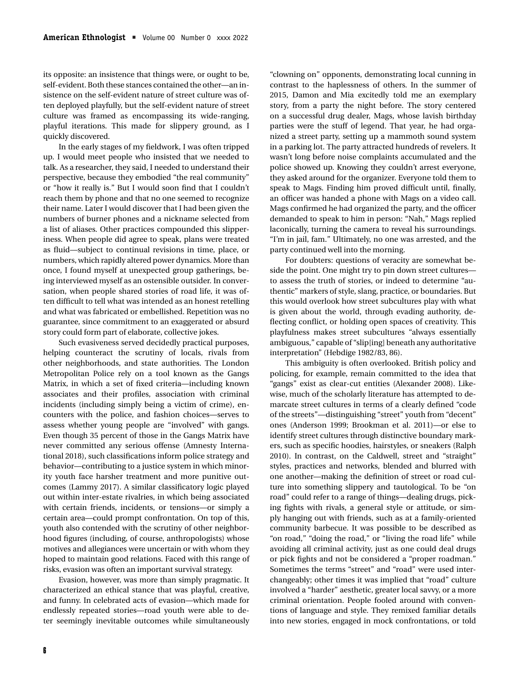its opposite: an insistence that things were, or ought to be, self-evident. Both these stances contained the other—an insistence on the self-evident nature of street culture was often deployed playfully, but the self-evident nature of street culture was framed as encompassing its wide-ranging, playful iterations. This made for slippery ground, as I quickly discovered.

In the early stages of my fieldwork, I was often tripped up. I would meet people who insisted that we needed to talk. As a researcher, they said, I needed to understand their perspective, because they embodied "the real community" or "how it really is." But I would soon find that I couldn't reach them by phone and that no one seemed to recognize their name. Later I would discover that I had been given the numbers of burner phones and a nickname selected from a list of aliases. Other practices compounded this slipperiness. When people did agree to speak, plans were treated as fluid—subject to continual revisions in time, place, or numbers, which rapidly altered power dynamics. More than once, I found myself at unexpected group gatherings, being interviewed myself as an ostensible outsider. In conversation, when people shared stories of road life, it was often difficult to tell what was intended as an honest retelling and what was fabricated or embellished. Repetition was no guarantee, since commitment to an exaggerated or absurd story could form part of elaborate, collective jokes.

Such evasiveness served decidedly practical purposes, helping counteract the scrutiny of locals, rivals from other neighborhoods, and state authorities. The London Metropolitan Police rely on a tool known as the Gangs Matrix, in which a set of fixed criteria—including known associates and their profiles, association with criminal incidents (including simply being a victim of crime), encounters with the police, and fashion choices—serves to assess whether young people are "involved" with gangs. Even though 35 percent of those in the Gangs Matrix have never committed any serious offense (Amnesty International 2018), such classifications inform police strategy and behavior—contributing to a justice system in which minority youth face harsher treatment and more punitive outcomes (Lammy 2017). A similar classificatory logic played out within inter-estate rivalries, in which being associated with certain friends, incidents, or tensions—or simply a certain area—could prompt confrontation. On top of this, youth also contended with the scrutiny of other neighborhood figures (including, of course, anthropologists) whose motives and allegiances were uncertain or with whom they hoped to maintain good relations. Faced with this range of risks, evasion was often an important survival strategy.

Evasion, however, was more than simply pragmatic. It characterized an ethical stance that was playful, creative, and funny. In celebrated acts of evasion—which made for endlessly repeated stories—road youth were able to deter seemingly inevitable outcomes while simultaneously "clowning on" opponents, demonstrating local cunning in contrast to the haplessness of others. In the summer of 2015, Damon and Mia excitedly told me an exemplary story, from a party the night before. The story centered on a successful drug dealer, Mags, whose lavish birthday parties were the stuff of legend. That year, he had organized a street party, setting up a mammoth sound system in a parking lot. The party attracted hundreds of revelers. It wasn't long before noise complaints accumulated and the police showed up. Knowing they couldn't arrest everyone, they asked around for the organizer. Everyone told them to speak to Mags. Finding him proved difficult until, finally, an officer was handed a phone with Mags on a video call. Mags confirmed he had organized the party, and the officer demanded to speak to him in person: "Nah," Mags replied laconically, turning the camera to reveal his surroundings. "I'm in jail, fam." Ultimately, no one was arrested, and the party continued well into the morning.

For doubters: questions of veracity are somewhat beside the point. One might try to pin down street cultures to assess the truth of stories, or indeed to determine "authentic" markers of style, slang, practice, or boundaries. But this would overlook how street subcultures play with what is given about the world, through evading authority, deflecting conflict, or holding open spaces of creativity. This playfulness makes street subcultures "always essentially ambiguous," capable of "slip[ing] beneath any authoritative interpretation" (Hebdige 1982/83, 86).

This ambiguity is often overlooked. British policy and policing, for example, remain committed to the idea that "gangs" exist as clear-cut entities (Alexander 2008). Likewise, much of the scholarly literature has attempted to demarcate street cultures in terms of a clearly defined "code of the streets"—distinguishing "street" youth from "decent" ones (Anderson 1999; Brookman et al. 2011)—or else to identify street cultures through distinctive boundary markers, such as specific hoodies, hairstyles, or sneakers (Ralph 2010). In contrast, on the Caldwell, street and "straight" styles, practices and networks, blended and blurred with one another—making the definition of street or road culture into something slippery and tautological. To be "on road" could refer to a range of things—dealing drugs, picking fights with rivals, a general style or attitude, or simply hanging out with friends, such as at a family-oriented community barbecue. It was possible to be described as "on road," "doing the road," or "living the road life" while avoiding all criminal activity, just as one could deal drugs or pick fights and not be considered a "proper roadman." Sometimes the terms "street" and "road" were used interchangeably; other times it was implied that "road" culture involved a "harder" aesthetic, greater local savvy, or a more criminal orientation. People fooled around with conventions of language and style. They remixed familiar details into new stories, engaged in mock confrontations, or told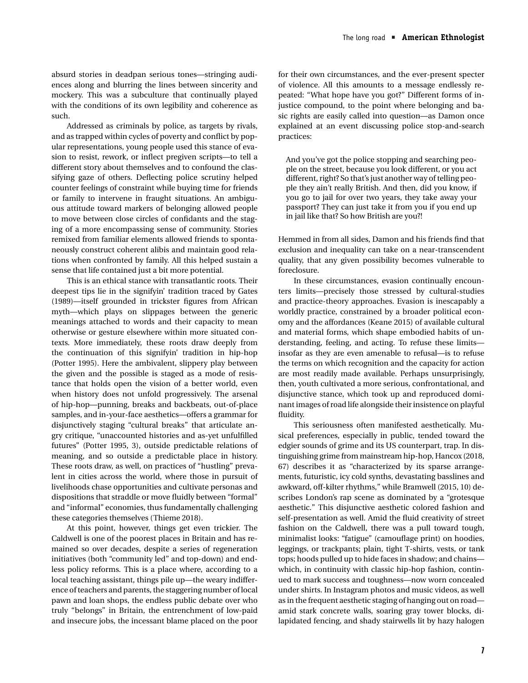absurd stories in deadpan serious tones—stringing audiences along and blurring the lines between sincerity and mockery. This was a subculture that continually played with the conditions of its own legibility and coherence as such.

Addressed as criminals by police, as targets by rivals, and as trapped within cycles of poverty and conflict by popular representations, young people used this stance of evasion to resist, rework, or inflect pregiven scripts—to tell a different story about themselves and to confound the classifying gaze of others. Deflecting police scrutiny helped counter feelings of constraint while buying time for friends or family to intervene in fraught situations. An ambiguous attitude toward markers of belonging allowed people to move between close circles of confidants and the staging of a more encompassing sense of community. Stories remixed from familiar elements allowed friends to spontaneously construct coherent alibis and maintain good relations when confronted by family. All this helped sustain a sense that life contained just a bit more potential.

This is an ethical stance with transatlantic roots. Their deepest tips lie in the signifyin' tradition traced by Gates (1989)—itself grounded in trickster figures from African myth—which plays on slippages between the generic meanings attached to words and their capacity to mean otherwise or gesture elsewhere within more situated contexts. More immediately, these roots draw deeply from the continuation of this signifyin' tradition in hip-hop (Potter 1995). Here the ambivalent, slippery play between the given and the possible is staged as a mode of resistance that holds open the vision of a better world, even when history does not unfold progressively. The arsenal of hip-hop—punning, breaks and backbeats, out-of-place samples, and in-your-face aesthetics—offers a grammar for disjunctively staging "cultural breaks" that articulate angry critique, "unaccounted histories and as-yet unfulfilled futures" (Potter 1995, 3), outside predictable relations of meaning, and so outside a predictable place in history. These roots draw, as well, on practices of "hustling" prevalent in cities across the world, where those in pursuit of livelihoods chase opportunities and cultivate personas and dispositions that straddle or move fluidly between "formal" and "informal" economies, thus fundamentally challenging these categories themselves (Thieme 2018).

At this point, however, things get even trickier. The Caldwell is one of the poorest places in Britain and has remained so over decades, despite a series of regeneration initiatives (both "community led" and top-down) and endless policy reforms. This is a place where, according to a local teaching assistant, things pile up—the weary indifference of teachers and parents, the staggering number of local pawn and loan shops, the endless public debate over who truly "belongs" in Britain, the entrenchment of low-paid and insecure jobs, the incessant blame placed on the poor for their own circumstances, and the ever-present specter of violence. All this amounts to a message endlessly repeated: "What hope have you got?" Different forms of injustice compound, to the point where belonging and basic rights are easily called into question—as Damon once explained at an event discussing police stop-and-search practices:

And you've got the police stopping and searching people on the street, because you look different, or you act different, right? So that's just another way of telling people they ain't really British. And then, did you know, if you go to jail for over two years, they take away your passport? They can just take it from you if you end up in jail like that? So how British are you?!

Hemmed in from all sides, Damon and his friends find that exclusion and inequality can take on a near-transcendent quality, that any given possibility becomes vulnerable to foreclosure.

In these circumstances, evasion continually encounters limits—precisely those stressed by cultural-studies and practice-theory approaches. Evasion is inescapably a worldly practice, constrained by a broader political economy and the affordances (Keane 2015) of available cultural and material forms, which shape embodied habits of understanding, feeling, and acting. To refuse these limits insofar as they are even amenable to refusal—is to refuse the terms on which recognition and the capacity for action are most readily made available. Perhaps unsurprisingly, then, youth cultivated a more serious, confrontational, and disjunctive stance, which took up and reproduced dominant images of road life alongside their insistence on playful fluidity.

This seriousness often manifested aesthetically. Musical preferences, especially in public, tended toward the edgier sounds of grime and its US counterpart, trap. In distinguishing grime from mainstream hip-hop, Hancox (2018, 67) describes it as "characterized by its sparse arrangements, futuristic, icy cold synths, devastating basslines and awkward, off-kilter rhythms," while Bramwell (2015, 10) describes London's rap scene as dominated by a "grotesque aesthetic." This disjunctive aesthetic colored fashion and self-presentation as well. Amid the fluid creativity of street fashion on the Caldwell, there was a pull toward tough, minimalist looks: "fatigue" (camouflage print) on hoodies, leggings, or trackpants; plain, tight T-shirts, vests, or tank tops; hoods pulled up to hide faces in shadow; and chains which, in continuity with classic hip-hop fashion, continued to mark success and toughness—now worn concealed under shirts. In Instagram photos and music videos, as well as in the frequent aesthetic staging of hanging out on road amid stark concrete walls, soaring gray tower blocks, dilapidated fencing, and shady stairwells lit by hazy halogen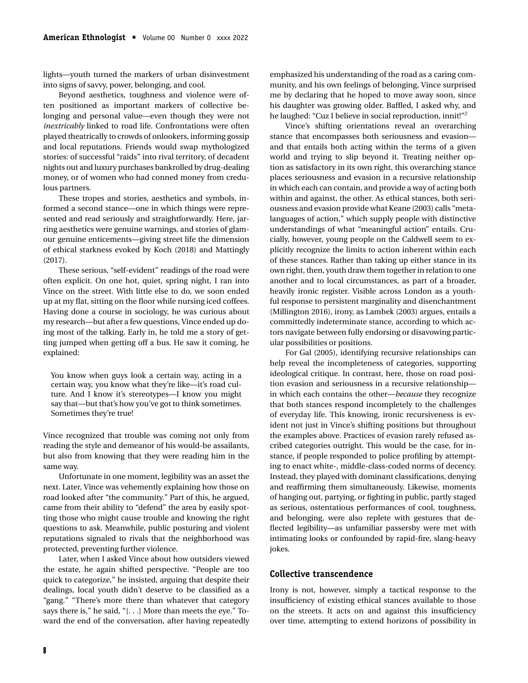lights—youth turned the markers of urban disinvestment into signs of savvy, power, belonging, and cool.

Beyond aesthetics, toughness and violence were often positioned as important markers of collective belonging and personal value—even though they were not *inextricably* linked to road life. Confrontations were often played theatrically to crowds of onlookers, informing gossip and local reputations. Friends would swap mythologized stories: of successful "raids" into rival territory, of decadent nights out and luxury purchases bankrolled by drug-dealing money, or of women who had conned money from credulous partners.

These tropes and stories, aesthetics and symbols, informed a second stance—one in which things were represented and read seriously and straightforwardly. Here, jarring aesthetics were genuine warnings, and stories of glamour genuine enticements—giving street life the dimension of ethical starkness evoked by Koch (2018) and Mattingly (2017).

These serious, "self-evident" readings of the road were often explicit. On one hot, quiet, spring night, I ran into Vince on the street. With little else to do, we soon ended up at my flat, sitting on the floor while nursing iced coffees. Having done a course in sociology, he was curious about my research—but after a few questions, Vince ended up doing most of the talking. Early in, he told me a story of getting jumped when getting off a bus. He saw it coming, he explained:

You know when guys look a certain way, acting in a certain way, you know what they're like—it's road culture. And I know it's stereotypes—I know you might say that—but that's how you've got to think sometimes. Sometimes they're true!

Vince recognized that trouble was coming not only from reading the style and demeanor of his would-be assailants, but also from knowing that they were reading him in the same way.

Unfortunate in one moment, legibility was an asset the next. Later, Vince was vehemently explaining how those on road looked after "the community." Part of this, he argued, came from their ability to "defend" the area by easily spotting those who might cause trouble and knowing the right questions to ask. Meanwhile, public posturing and violent reputations signaled to rivals that the neighborhood was protected, preventing further violence.

Later, when I asked Vince about how outsiders viewed the estate, he again shifted perspective. "People are too quick to categorize," he insisted, arguing that despite their dealings, local youth didn't deserve to be classified as a "gang." "There's more there than whatever that category says there is," he said, "[. . .] More than meets the eye." Toward the end of the conversation, after having repeatedly emphasized his understanding of the road as a caring community, and his own feelings of belonging, Vince surprised me by declaring that he hoped to move away soon, since his daughter was growing older. Baffled, I asked why, and he laughed: "Cuz I believe in social reproduction, innit!"2

Vince's shifting orientations reveal an overarching stance that encompasses both seriousness and evasion and that entails both acting within the terms of a given world and trying to slip beyond it. Treating neither option as satisfactory in its own right, this overarching stance places seriousness and evasion in a recursive relationship in which each can contain, and provide a way of acting both within and against, the other. As ethical stances, both seriousness and evasion provide what Keane (2003) calls "metalanguages of action," which supply people with distinctive understandings of what "meaningful action" entails. Crucially, however, young people on the Caldwell seem to explicitly recognize the limits to action inherent within each of these stances. Rather than taking up either stance in its own right, then, youth draw them together in relation to one another and to local circumstances, as part of a broader, heavily ironic register. Visible across London as a youthful response to persistent marginality and disenchantment (Millington 2016), irony, as Lambek (2003) argues, entails a committedly indeterminate stance, according to which actors navigate between fully endorsing or disavowing particular possibilities or positions.

For Gal (2005), identifying recursive relationships can help reveal the incompleteness of categories, supporting ideological critique. In contrast, here, those on road position evasion and seriousness in a recursive relationship in which each contains the other—*because* they recognize that both stances respond incompletely to the challenges of everyday life. This knowing, ironic recursiveness is evident not just in Vince's shifting positions but throughout the examples above. Practices of evasion rarely refused ascribed categories outright. This would be the case, for instance, if people responded to police profiling by attempting to enact white-, middle-class-coded norms of decency. Instead, they played with dominant classifications, denying and reaffirming them simultaneously. Likewise, moments of hanging out, partying, or fighting in public, partly staged as serious, ostentatious performances of cool, toughness, and belonging, were also replete with gestures that deflected legibility—as unfamiliar passersby were met with intimating looks or confounded by rapid-fire, slang-heavy jokes.

#### **Collective transcendence**

Irony is not, however, simply a tactical response to the insufficiency of existing ethical stances available to those on the streets. It acts on and against this insufficiency over time, attempting to extend horizons of possibility in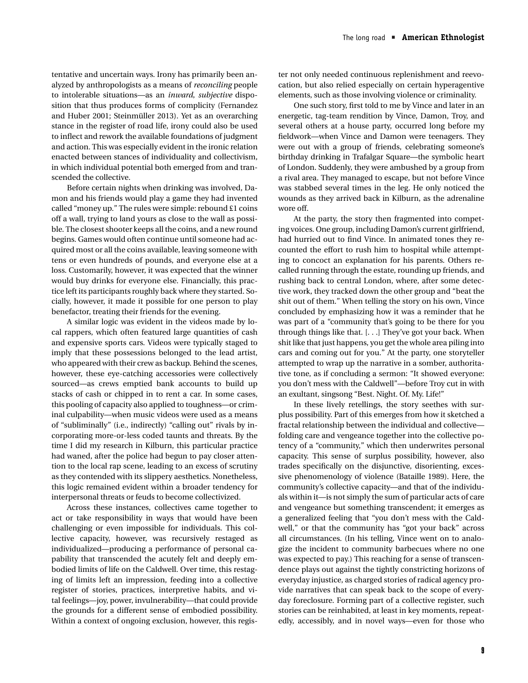tentative and uncertain ways. Irony has primarily been analyzed by anthropologists as a means of *reconciling* people to intolerable situations—as an *inward*, *subjective* disposition that thus produces forms of complicity (Fernandez and Huber 2001; Steinmüller 2013). Yet as an overarching stance in the register of road life, irony could also be used to inflect and rework the available foundations of judgment and action. This was especially evident in the ironic relation enacted between stances of individuality and collectivism, in which individual potential both emerged from and transcended the collective.

Before certain nights when drinking was involved, Damon and his friends would play a game they had invented called "money up." The rules were simple: rebound £1 coins off a wall, trying to land yours as close to the wall as possible. The closest shooter keeps all the coins, and a new round begins. Games would often continue until someone had acquired most or all the coins available, leaving someone with tens or even hundreds of pounds, and everyone else at a loss. Customarily, however, it was expected that the winner would buy drinks for everyone else. Financially, this practice left its participants roughly back where they started. Socially, however, it made it possible for one person to play benefactor, treating their friends for the evening.

A similar logic was evident in the videos made by local rappers, which often featured large quantities of cash and expensive sports cars. Videos were typically staged to imply that these possessions belonged to the lead artist, who appeared with their crew as backup. Behind the scenes, however, these eye-catching accessories were collectively sourced—as crews emptied bank accounts to build up stacks of cash or chipped in to rent a car. In some cases, this pooling of capacity also applied to toughness—or criminal culpability—when music videos were used as a means of "subliminally" (i.e., indirectly) "calling out" rivals by incorporating more-or-less coded taunts and threats. By the time I did my research in Kilburn, this particular practice had waned, after the police had begun to pay closer attention to the local rap scene, leading to an excess of scrutiny as they contended with its slippery aesthetics. Nonetheless, this logic remained evident within a broader tendency for interpersonal threats or feuds to become collectivized.

Across these instances, collectives came together to act or take responsibility in ways that would have been challenging or even impossible for individuals. This collective capacity, however, was recursively restaged as individualized—producing a performance of personal capability that transcended the acutely felt and deeply embodied limits of life on the Caldwell. Over time, this restaging of limits left an impression, feeding into a collective register of stories, practices, interpretive habits, and vital feelings—joy, power, invulnerability—that could provide the grounds for a different sense of embodied possibility. Within a context of ongoing exclusion, however, this register not only needed continuous replenishment and reevocation, but also relied especially on certain hyperagentive elements, such as those involving violence or criminality.

One such story, first told to me by Vince and later in an energetic, tag-team rendition by Vince, Damon, Troy, and several others at a house party, occurred long before my fieldwork—when Vince and Damon were teenagers. They were out with a group of friends, celebrating someone's birthday drinking in Trafalgar Square—the symbolic heart of London. Suddenly, they were ambushed by a group from a rival area. They managed to escape, but not before Vince was stabbed several times in the leg. He only noticed the wounds as they arrived back in Kilburn, as the adrenaline wore off.

At the party, the story then fragmented into competing voices. One group, including Damon's current girlfriend, had hurried out to find Vince. In animated tones they recounted the effort to rush him to hospital while attempting to concoct an explanation for his parents. Others recalled running through the estate, rounding up friends, and rushing back to central London, where, after some detective work, they tracked down the other group and "beat the shit out of them." When telling the story on his own, Vince concluded by emphasizing how it was a reminder that he was part of a "community that's going to be there for you through things like that. [. . .] They've got your back. When shit like that just happens, you get the whole area piling into cars and coming out for you." At the party, one storyteller attempted to wrap up the narrative in a somber, authoritative tone, as if concluding a sermon: "It showed everyone: you don't mess with the Caldwell"—before Troy cut in with an exultant, singsong "Best. Night. Of. My. Life!"

In these lively retellings, the story seethes with surplus possibility. Part of this emerges from how it sketched a fractal relationship between the individual and collective folding care and vengeance together into the collective potency of a "community," which then underwrites personal capacity. This sense of surplus possibility, however, also trades specifically on the disjunctive, disorienting, excessive phenomenology of violence (Bataille 1989). Here, the community's collective capacity—and that of the individuals within it—is not simply the sum of particular acts of care and vengeance but something transcendent; it emerges as a generalized feeling that "you don't mess with the Caldwell," or that the community has "got your back" across all circumstances. (In his telling, Vince went on to analogize the incident to community barbecues where no one was expected to pay.) This reaching for a sense of transcendence plays out against the tightly constricting horizons of everyday injustice, as charged stories of radical agency provide narratives that can speak back to the scope of everyday foreclosure. Forming part of a collective register, such stories can be reinhabited, at least in key moments, repeatedly, accessibly, and in novel ways—even for those who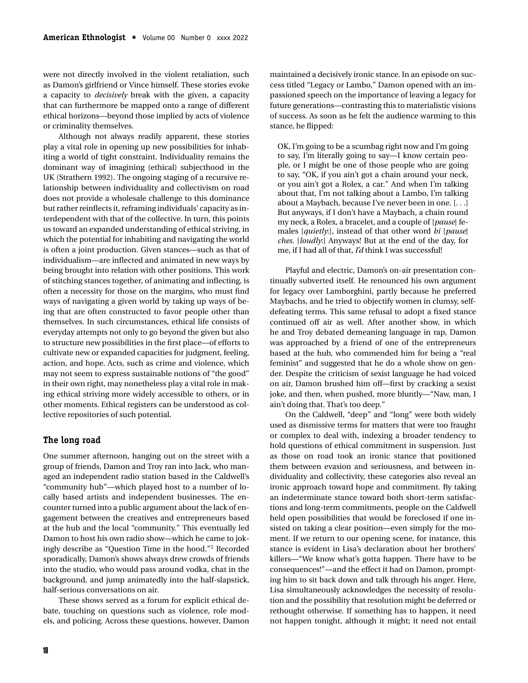were not directly involved in the violent retaliation, such as Damon's girlfriend or Vince himself. These stories evoke a capacity to *decisively* break with the given, a capacity that can furthermore be mapped onto a range of different ethical horizons—beyond those implied by acts of violence or criminality themselves.

Although not always readily apparent, these stories play a vital role in opening up new possibilities for inhabiting a world of tight constraint. Individuality remains the dominant way of imagining (ethical) subjecthood in the UK (Strathern 1992). The ongoing staging of a recursive relationship between individuality and collectivism on road does not provide a wholesale challenge to this dominance but rather reinflects it, reframing individuals' capacity as interdependent with that of the collective. In turn, this points us toward an expanded understanding of ethical striving, in which the potential for inhabiting and navigating the world is often a joint production. Given stances—such as that of individualism—are inflected and animated in new ways by being brought into relation with other positions. This work of stitching stances together, of animating and inflecting, is often a necessity for those on the margins, who must find ways of navigating a given world by taking up ways of being that are often constructed to favor people other than themselves. In such circumstances, ethical life consists of everyday attempts not only to go beyond the given but also to structure new possibilities in the first place—of efforts to cultivate new or expanded capacities for judgment, feeling, action, and hope. Acts, such as crime and violence, which may not seem to express sustainable notions of "the good" in their own right, may nonetheless play a vital role in making ethical striving more widely accessible to others, or in other moments. Ethical registers can be understood as collective repositories of such potential.

#### **The long road**

One summer afternoon, hanging out on the street with a group of friends, Damon and Troy ran into Jack, who managed an independent radio station based in the Caldwell's "community hub"—which played host to a number of locally based artists and independent businesses. The encounter turned into a public argument about the lack of engagement between the creatives and entrepreneurs based at the hub and the local "community." This eventually led Damon to host his own radio show—which he came to jokingly describe as "Question Time in the hood."3 Recorded sporadically, Damon's shows always drew crowds of friends into the studio, who would pass around vodka, chat in the background, and jump animatedly into the half-slapstick, half-serious conversations on air.

These shows served as a forum for explicit ethical debate, touching on questions such as violence, role models, and policing. Across these questions, however, Damon maintained a decisively ironic stance. In an episode on success titled "Legacy or Lambo," Damon opened with an impassioned speech on the importance of leaving a legacy for future generations—contrasting this to materialistic visions of success. As soon as he felt the audience warming to this stance, he flipped:

OK, I'm going to be a scumbag right now and I'm going to say, I'm literally going to say—I know certain people, or I might be one of those people who are going to say, "OK, if you ain't got a chain around your neck, or you ain't got a Rolex, a car." And when I'm talking about that, I'm not talking about a Lambo, I'm talking about a Maybach, because I've never been in one. [. . .] But anyways, if I don't have a Maybach, a chain round my neck, a Rolex, a bracelet, and a couple of [*pause*] females [*quietly*:], instead of that other word *bi* [*pause*] *ches*. [*loudly*:] Anyways! But at the end of the day, for me, if I had all of that, *I'd* think I was successful!

Playful and electric, Damon's on-air presentation continually subverted itself. He renounced his own argument for legacy over Lamborghini, partly because he preferred Maybachs, and he tried to objectify women in clumsy, selfdefeating terms. This same refusal to adopt a fixed stance continued off air as well. After another show, in which he and Troy debated demeaning language in rap, Damon was approached by a friend of one of the entrepreneurs based at the hub, who commended him for being a "real feminist" and suggested that he do a whole show on gender. Despite the criticism of sexist language he had voiced on air, Damon brushed him off—first by cracking a sexist joke, and then, when pushed, more bluntly—"Naw, man, I ain't doing that. That's too deep."

On the Caldwell, "deep" and "long" were both widely used as dismissive terms for matters that were too fraught or complex to deal with, indexing a broader tendency to hold questions of ethical commitment in suspension. Just as those on road took an ironic stance that positioned them between evasion and seriousness, and between individuality and collectivity, these categories also reveal an ironic approach toward hope and commitment. By taking an indeterminate stance toward both short-term satisfactions and long-term commitments, people on the Caldwell held open possibilities that would be foreclosed if one insisted on taking a clear position—even simply for the moment. If we return to our opening scene, for instance, this stance is evident in Lisa's declaration about her brothers' killers—"We know what's gotta happen. There have to be consequences!"—and the effect it had on Damon, prompting him to sit back down and talk through his anger. Here, Lisa simultaneously acknowledges the necessity of resolution and the possibility that resolution might be deferred or rethought otherwise. If something has to happen, it need not happen tonight, although it might; it need not entail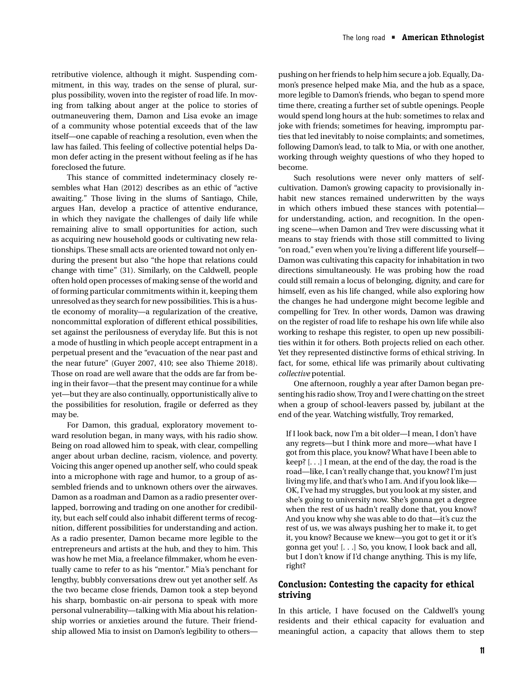retributive violence, although it might. Suspending commitment, in this way, trades on the sense of plural, surplus possibility, woven into the register of road life. In moving from talking about anger at the police to stories of outmaneuvering them, Damon and Lisa evoke an image of a community whose potential exceeds that of the law itself—one capable of reaching a resolution, even when the law has failed. This feeling of collective potential helps Damon defer acting in the present without feeling as if he has foreclosed the future.

This stance of committed indeterminacy closely resembles what Han (2012) describes as an ethic of "active awaiting." Those living in the slums of Santiago, Chile, argues Han, develop a practice of attentive endurance, in which they navigate the challenges of daily life while remaining alive to small opportunities for action, such as acquiring new household goods or cultivating new relationships. These small acts are oriented toward not only enduring the present but also "the hope that relations could change with time" (31). Similarly, on the Caldwell, people often hold open processes of making sense of the world and of forming particular commitments within it, keeping them unresolved as they search for new possibilities. This is a hustle economy of morality—a regularization of the creative, noncommittal exploration of different ethical possibilities, set against the perilousness of everyday life. But this is not a mode of hustling in which people accept entrapment in a perpetual present and the "evacuation of the near past and the near future" (Guyer 2007, 410; see also Thieme 2018). Those on road are well aware that the odds are far from being in their favor—that the present may continue for a while yet—but they are also continually, opportunistically alive to the possibilities for resolution, fragile or deferred as they may be.

For Damon, this gradual, exploratory movement toward resolution began, in many ways, with his radio show. Being on road allowed him to speak, with clear, compelling anger about urban decline, racism, violence, and poverty. Voicing this anger opened up another self, who could speak into a microphone with rage and humor, to a group of assembled friends and to unknown others over the airwaves. Damon as a roadman and Damon as a radio presenter overlapped, borrowing and trading on one another for credibility, but each self could also inhabit different terms of recognition, different possibilities for understanding and action. As a radio presenter, Damon became more legible to the entrepreneurs and artists at the hub, and they to him. This was how he met Mia, a freelance filmmaker, whom he eventually came to refer to as his "mentor." Mia's penchant for lengthy, bubbly conversations drew out yet another self. As the two became close friends, Damon took a step beyond his sharp, bombastic on-air persona to speak with more personal vulnerability—talking with Mia about his relationship worries or anxieties around the future. Their friendship allowed Mia to insist on Damon's legibility to otherspushing on her friends to help him secure a job. Equally, Damon's presence helped make Mia, and the hub as a space, more legible to Damon's friends, who began to spend more time there, creating a further set of subtle openings. People would spend long hours at the hub: sometimes to relax and joke with friends; sometimes for heaving, impromptu parties that led inevitably to noise complaints; and sometimes, following Damon's lead, to talk to Mia, or with one another, working through weighty questions of who they hoped to become.

Such resolutions were never only matters of selfcultivation. Damon's growing capacity to provisionally inhabit new stances remained underwritten by the ways in which others imbued these stances with potential for understanding, action, and recognition. In the opening scene—when Damon and Trev were discussing what it means to stay friends with those still committed to living "on road," even when you're living a different life yourself— Damon was cultivating this capacity for inhabitation in two directions simultaneously. He was probing how the road could still remain a locus of belonging, dignity, and care for himself, even as his life changed, while also exploring how the changes he had undergone might become legible and compelling for Trev. In other words, Damon was drawing on the register of road life to reshape his own life while also working to reshape this register, to open up new possibilities within it for others. Both projects relied on each other. Yet they represented distinctive forms of ethical striving. In fact, for some, ethical life was primarily about cultivating *collective* potential.

One afternoon, roughly a year after Damon began presenting his radio show, Troy and I were chatting on the street when a group of school-leavers passed by, jubilant at the end of the year. Watching wistfully, Troy remarked,

If I look back, now I'm a bit older—I mean, I don't have any regrets—but I think more and more—what have I got from this place, you know? What have I been able to keep? [. . .] I mean, at the end of the day, the road is the road—like, I can't really change that, you know? I'm just living my life, and that's who I am. And if you look like— OK, I've had my struggles, but you look at my sister, and she's going to university now. She's gonna get a degree when the rest of us hadn't really done that, you know? And you know why she was able to do that—it's cuz the rest of us, we was always pushing her to make it, to get it, you know? Because we knew—you got to get it or it's gonna get you! [. . .] So, you know, I look back and all, but I don't know if I'd change anything. This is my life, right?

#### **Conclusion: Contesting the capacity for ethical striving**

In this article, I have focused on the Caldwell's young residents and their ethical capacity for evaluation and meaningful action, a capacity that allows them to step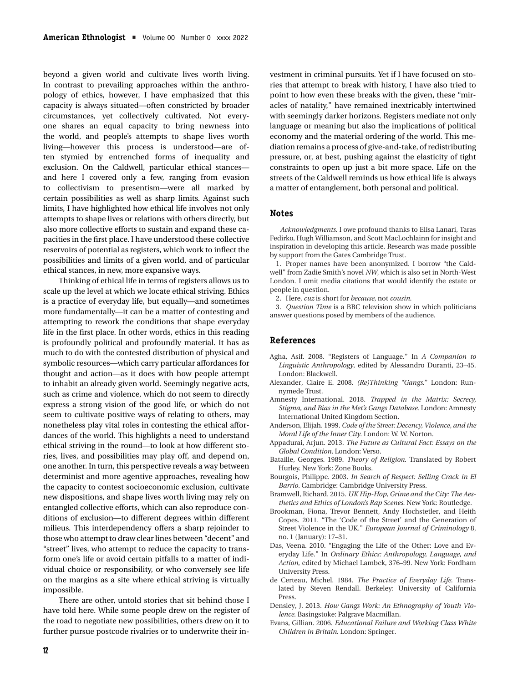beyond a given world and cultivate lives worth living. In contrast to prevailing approaches within the anthropology of ethics, however, I have emphasized that this capacity is always situated—often constricted by broader circumstances, yet collectively cultivated. Not everyone shares an equal capacity to bring newness into the world, and people's attempts to shape lives worth living—however this process is understood—are often stymied by entrenched forms of inequality and exclusion. On the Caldwell, particular ethical stances and here I covered only a few, ranging from evasion to collectivism to presentism—were all marked by certain possibilities as well as sharp limits. Against such limits, I have highlighted how ethical life involves not only attempts to shape lives or relations with others directly, but also more collective efforts to sustain and expand these capacities in the first place. I have understood these collective reservoirs of potential as registers, which work to inflect the possibilities and limits of a given world, and of particular ethical stances, in new, more expansive ways.

Thinking of ethical life in terms of registers allows us to scale up the level at which we locate ethical striving. Ethics is a practice of everyday life, but equally—and sometimes more fundamentally—it can be a matter of contesting and attempting to rework the conditions that shape everyday life in the first place. In other words, ethics in this reading is profoundly political and profoundly material. It has as much to do with the contested distribution of physical and symbolic resources—which carry particular affordances for thought and action—as it does with how people attempt to inhabit an already given world. Seemingly negative acts, such as crime and violence, which do not seem to directly express a strong vision of the good life, or which do not seem to cultivate positive ways of relating to others, may nonetheless play vital roles in contesting the ethical affordances of the world. This highlights a need to understand ethical striving in the round—to look at how different stories, lives, and possibilities may play off, and depend on, one another. In turn, this perspective reveals a way between determinist and more agentive approaches, revealing how the capacity to contest socioeconomic exclusion, cultivate new dispositions, and shape lives worth living may rely on entangled collective efforts, which can also reproduce conditions of exclusion—to different degrees within different milieus. This interdependency offers a sharp rejoinder to those who attempt to draw clear lines between "decent" and "street" lives, who attempt to reduce the capacity to transform one's life or avoid certain pitfalls to a matter of individual choice or responsibility, or who conversely see life on the margins as a site where ethical striving is virtually impossible.

There are other, untold stories that sit behind those I have told here. While some people drew on the register of the road to negotiate new possibilities, others drew on it to further pursue postcode rivalries or to underwrite their investment in criminal pursuits. Yet if I have focused on stories that attempt to break with history, I have also tried to point to how even these breaks with the given, these "miracles of natality," have remained inextricably intertwined with seemingly darker horizons. Registers mediate not only language or meaning but also the implications of political economy and the material ordering of the world. This mediation remains a process of give-and-take, of redistributing pressure, or, at best, pushing against the elasticity of tight constraints to open up just a bit more space. Life on the streets of the Caldwell reminds us how ethical life is always a matter of entanglement, both personal and political.

#### **Notes**

*Acknowledgments*. I owe profound thanks to Elisa Lanari, Taras Fedirko, Hugh Williamson, and Scott MacLochlainn for insight and inspiration in developing this article. Research was made possible by support from the Gates Cambridge Trust.

1. Proper names have been anonymized. I borrow "the Caldwell" from Zadie Smith's novel *NW*, which is also set in North-West London. I omit media citations that would identify the estate or people in question.

2. Here, *cuz* is short for *because*, not *cousin*.

3. *Question Time* is a BBC television show in which politicians answer questions posed by members of the audience.

#### **References**

- Agha, Asif. 2008. "Registers of Language." In *A Companion to Linguistic Anthropology*, edited by Alessandro Duranti, 23–45. London: Blackwell.
- Alexander, Claire E. 2008. *(Re)Thinking "Gangs*." London: Runnymede Trust.
- Amnesty International. 2018. *Trapped in the Matrix: Secrecy, Stigma, and Bias in the Met's Gangs Database*. London: Amnesty International United Kingdom Section.
- Anderson, Elijah. 1999. *Code of the Street: Decency, Violence, and the Moral Life of the Inner City*. London: W. W. Norton.
- Appadurai, Arjun. 2013. *The Future as Cultural Fact: Essays on the Global Condition*. London: Verso.
- Bataille, Georges. 1989. *Theory of Religion*. Translated by Robert Hurley. New York: Zone Books.
- Bourgois, Philippe. 2003. *In Search of Respect: Selling Crack in El Barrio*. Cambridge: Cambridge University Press.
- Bramwell, Richard. 2015. *UK Hip-Hop, Grime and the City: The Aesthetics and Ethics of London's Rap Scenes*. New York: Routledge.
- Brookman, Fiona, Trevor Bennett, Andy Hochstetler, and Heith Copes. 2011. "The 'Code of the Street' and the Generation of Street Violence in the UK." *European Journal of Criminology* 8, no. 1 (January): 17–31.
- Das, Veena. 2010. "Engaging the Life of the Other: Love and Everyday Life." In *Ordinary Ethics: Anthropology, Language, and Action*, edited by Michael Lambek, 376–99. New York: Fordham University Press.
- de Certeau, Michel. 1984. *The Practice of Everyday Life*. Translated by Steven Rendall. Berkeley: University of California Press.
- Densley, J. 2013. *How Gangs Work: An Ethnography of Youth Violence*. Basingstoke: Palgrave Macmillan.
- Evans, Gillian. 2006. *Educational Failure and Working Class White Children in Britain*. London: Springer.